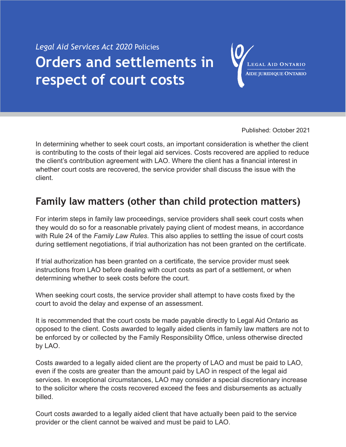# *Legal Aid Services Act 2020* Policies **Orders and settlements in respect of court costs**

LEGAL AID ONTARIO **AIDE JURIDIQUE ONTARIO** 

Published: October 2021

In determining whether to seek court costs, an important consideration is whether the client is contributing to the costs of their legal aid services. Costs recovered are applied to reduce the client's contribution agreement with LAO. Where the client has a financial interest in whether court costs are recovered, the service provider shall discuss the issue with the client.

# **Family law matters (other than child protection matters)**

For interim steps in family law proceedings, service providers shall seek court costs when they would do so for a reasonable privately paying client of modest means, in accordance with Rule 24 of the *Family Law Rules*. This also applies to settling the issue of court costs during settlement negotiations, if trial authorization has not been granted on the certificate.

If trial authorization has been granted on a certificate, the service provider must seek instructions from LAO before dealing with court costs as part of a settlement, or when determining whether to seek costs before the court.

When seeking court costs, the service provider shall attempt to have costs fixed by the court to avoid the delay and expense of an assessment.

It is recommended that the court costs be made payable directly to Legal Aid Ontario as opposed to the client. Costs awarded to legally aided clients in family law matters are not to be enforced by or collected by the Family Responsibility Office, unless otherwise directed by LAO.

Costs awarded to a legally aided client are the property of LAO and must be paid to LAO, even if the costs are greater than the amount paid by LAO in respect of the legal aid services. In exceptional circumstances, LAO may consider a special discretionary increase to the solicitor where the costs recovered exceed the fees and disbursements as actually billed.

Court costs awarded to a legally aided client that have actually been paid to the service provider or the client cannot be waived and must be paid to LAO.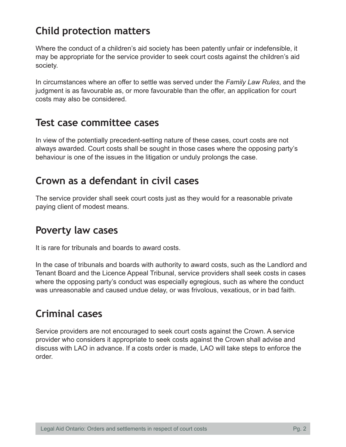# **Child protection matters**

Where the conduct of a children's aid society has been patently unfair or indefensible, it may be appropriate for the service provider to seek court costs against the children's aid society.

In circumstances where an offer to settle was served under the *Family Law Rules*, and the judgment is as favourable as, or more favourable than the offer, an application for court costs may also be considered.

#### **Test case committee cases**

In view of the potentially precedent-setting nature of these cases, court costs are not always awarded. Court costs shall be sought in those cases where the opposing party's behaviour is one of the issues in the litigation or unduly prolongs the case.

### **Crown as a defendant in civil cases**

The service provider shall seek court costs just as they would for a reasonable private paying client of modest means.

## **Poverty law cases**

It is rare for tribunals and boards to award costs.

In the case of tribunals and boards with authority to award costs, such as the Landlord and Tenant Board and the Licence Appeal Tribunal, service providers shall seek costs in cases where the opposing party's conduct was especially egregious, such as where the conduct was unreasonable and caused undue delay, or was frivolous, vexatious, or in bad faith.

## **Criminal cases**

Service providers are not encouraged to seek court costs against the Crown. A service provider who considers it appropriate to seek costs against the Crown shall advise and discuss with LAO in advance. If a costs order is made, LAO will take steps to enforce the order.